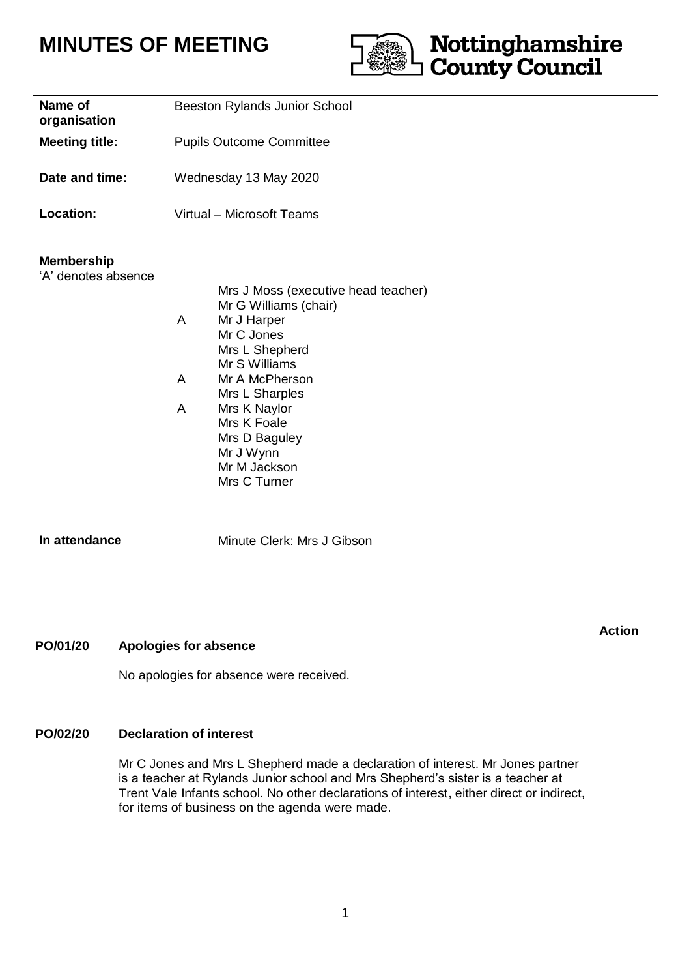# **MINUTES OF MEETING**



| Name of<br>organisation | <b>Beeston Rylands Junior School</b> |
|-------------------------|--------------------------------------|
| <b>Meeting title:</b>   | <b>Pupils Outcome Committee</b>      |
| Date and time:          | Wednesday 13 May 2020                |
| Location:               | Virtual – Microsoft Teams            |
| <b>Membership</b>       |                                      |

'A' denotes absence

Mrs J Moss (executive head teacher) Mr G Williams (chair) A | Mr J Harper Mr C Jones Mrs L Shepherd A A Mr S Williams Mr A McPherson Mrs L Sharples Mrs K Naylor Mrs K Foale Mrs D Baguley Mr J Wynn Mr M Jackson Mrs C Turner

**In attendance** Minute Clerk: Mrs J Gibson

# **PO/01/20 Apologies for absence**

No apologies for absence were received.

# **PO/02/20 Declaration of interest**

Mr C Jones and Mrs L Shepherd made a declaration of interest. Mr Jones partner is a teacher at Rylands Junior school and Mrs Shepherd's sister is a teacher at Trent Vale Infants school. No other declarations of interest, either direct or indirect, for items of business on the agenda were made.

**Action**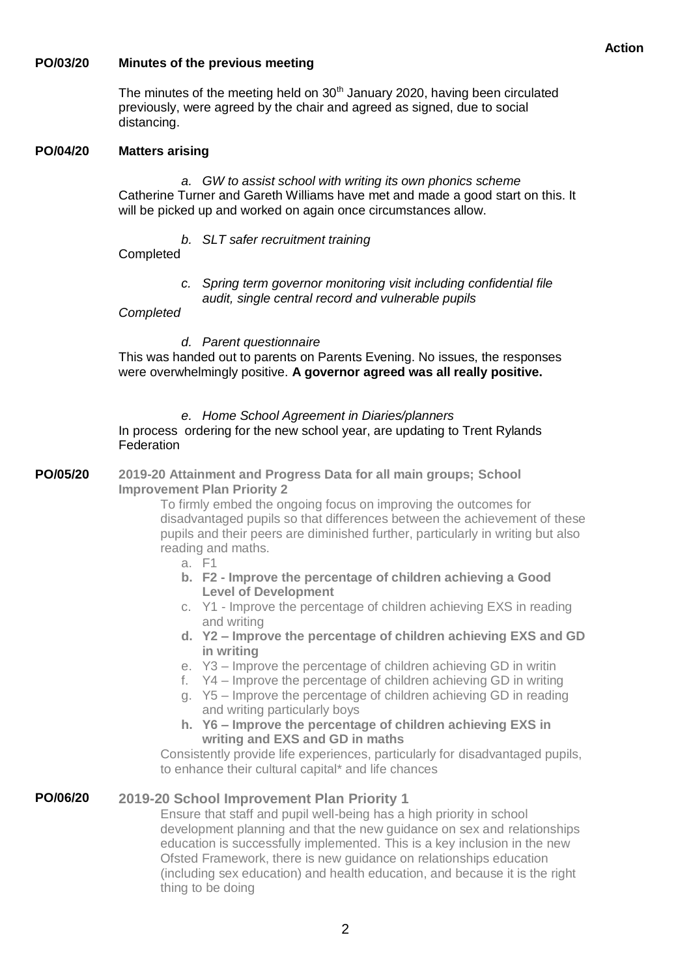### **PO/03/20 Minutes of the previous meeting**

The minutes of the meeting held on  $30<sup>th</sup>$  January 2020, having been circulated previously, were agreed by the chair and agreed as signed, due to social distancing.

### **PO/04/20 Matters arising**

*a. GW to assist school with writing its own phonics scheme* Catherine Turner and Gareth Williams have met and made a good start on this. It will be picked up and worked on again once circumstances allow.

*b. SLT safer recruitment training*

# **Completed**

*c. Spring term governor monitoring visit including confidential file audit, single central record and vulnerable pupils*

# *Completed*

*d. Parent questionnaire*

This was handed out to parents on Parents Evening. No issues, the responses were overwhelmingly positive. **A governor agreed was all really positive.**

*e. Home School Agreement in Diaries/planners*

## In process ordering for the new school year, are updating to Trent Rylands **Federation**

**PO/05/20 2019-20 Attainment and Progress Data for all main groups; School Improvement Plan Priority 2**

To firmly embed the ongoing focus on improving the outcomes for disadvantaged pupils so that differences between the achievement of these pupils and their peers are diminished further, particularly in writing but also reading and maths.

- a. F1
- **b. F2 - Improve the percentage of children achieving a Good Level of Development**
- c. Y1 Improve the percentage of children achieving EXS in reading and writing
- **d. Y2 – Improve the percentage of children achieving EXS and GD in writing**
- e. Y3 Improve the percentage of children achieving GD in writin
- f. Y4 Improve the percentage of children achieving GD in writing
- g. Y5 Improve the percentage of children achieving GD in reading and writing particularly boys
- **h. Y6 – Improve the percentage of children achieving EXS in writing and EXS and GD in maths**

Consistently provide life experiences, particularly for disadvantaged pupils, to enhance their cultural capital\* and life chances

### **PO/06/20 2019-20 School Improvement Plan Priority 1**

Ensure that staff and pupil well-being has a high priority in school development planning and that the new guidance on sex and relationships education is successfully implemented. This is a key inclusion in the new Ofsted Framework, there is new guidance on relationships education (including sex education) and health education, and because it is the right thing to be doing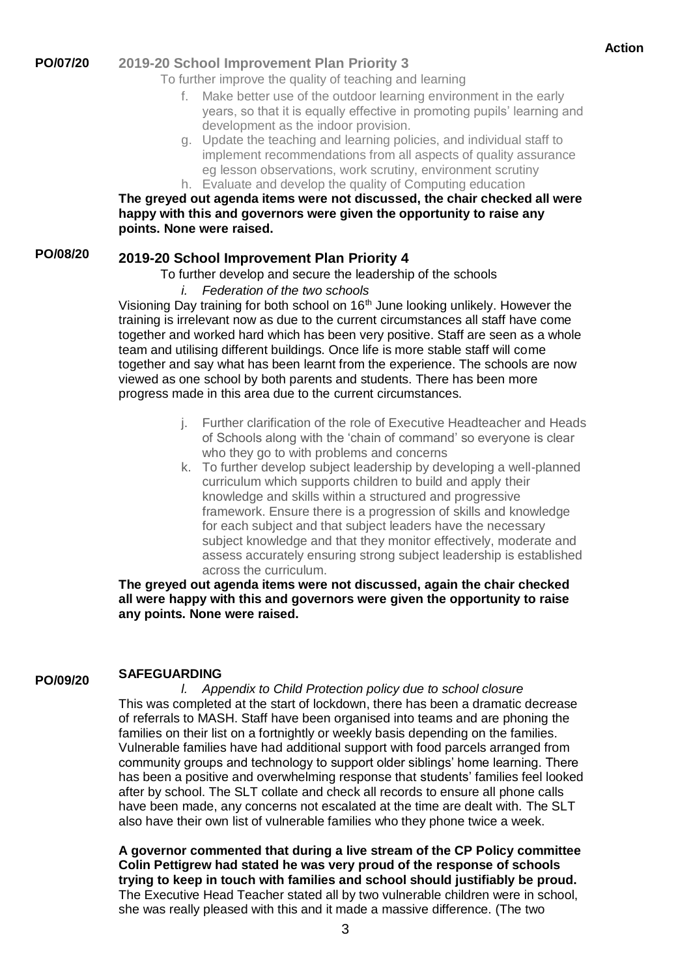### **PO/07/20 2019-20 School Improvement Plan Priority 3**

To further improve the quality of teaching and learning

- f. Make better use of the outdoor learning environment in the early years, so that it is equally effective in promoting pupils' learning and development as the indoor provision.
- g. Update the teaching and learning policies, and individual staff to implement recommendations from all aspects of quality assurance eg lesson observations, work scrutiny, environment scrutiny h. Evaluate and develop the quality of Computing education

# **The greyed out agenda items were not discussed, the chair checked all were happy with this and governors were given the opportunity to raise any points. None were raised.**

### **PO/08/20 2019-20 School Improvement Plan Priority 4**

To further develop and secure the leadership of the schools

*i. Federation of the two schools*

Visioning Day training for both school on 16<sup>th</sup> June looking unlikely. However the training is irrelevant now as due to the current circumstances all staff have come together and worked hard which has been very positive. Staff are seen as a whole team and utilising different buildings. Once life is more stable staff will come together and say what has been learnt from the experience. The schools are now viewed as one school by both parents and students. There has been more progress made in this area due to the current circumstances.

- j. Further clarification of the role of Executive Headteacher and Heads of Schools along with the 'chain of command' so everyone is clear who they go to with problems and concerns
- k. To further develop subject leadership by developing a well-planned curriculum which supports children to build and apply their knowledge and skills within a structured and progressive framework. Ensure there is a progression of skills and knowledge for each subject and that subject leaders have the necessary subject knowledge and that they monitor effectively, moderate and assess accurately ensuring strong subject leadership is established across the curriculum.

**The greyed out agenda items were not discussed, again the chair checked all were happy with this and governors were given the opportunity to raise any points. None were raised.**

### **PO/09/20 SAFEGUARDING**

*l. Appendix to Child Protection policy due to school closure* This was completed at the start of lockdown, there has been a dramatic decrease of referrals to MASH. Staff have been organised into teams and are phoning the families on their list on a fortnightly or weekly basis depending on the families. Vulnerable families have had additional support with food parcels arranged from community groups and technology to support older siblings' home learning. There has been a positive and overwhelming response that students' families feel looked after by school. The SLT collate and check all records to ensure all phone calls have been made, any concerns not escalated at the time are dealt with. The SLT also have their own list of vulnerable families who they phone twice a week.

**A governor commented that during a live stream of the CP Policy committee Colin Pettigrew had stated he was very proud of the response of schools trying to keep in touch with families and school should justifiably be proud.** The Executive Head Teacher stated all by two vulnerable children were in school, she was really pleased with this and it made a massive difference. (The two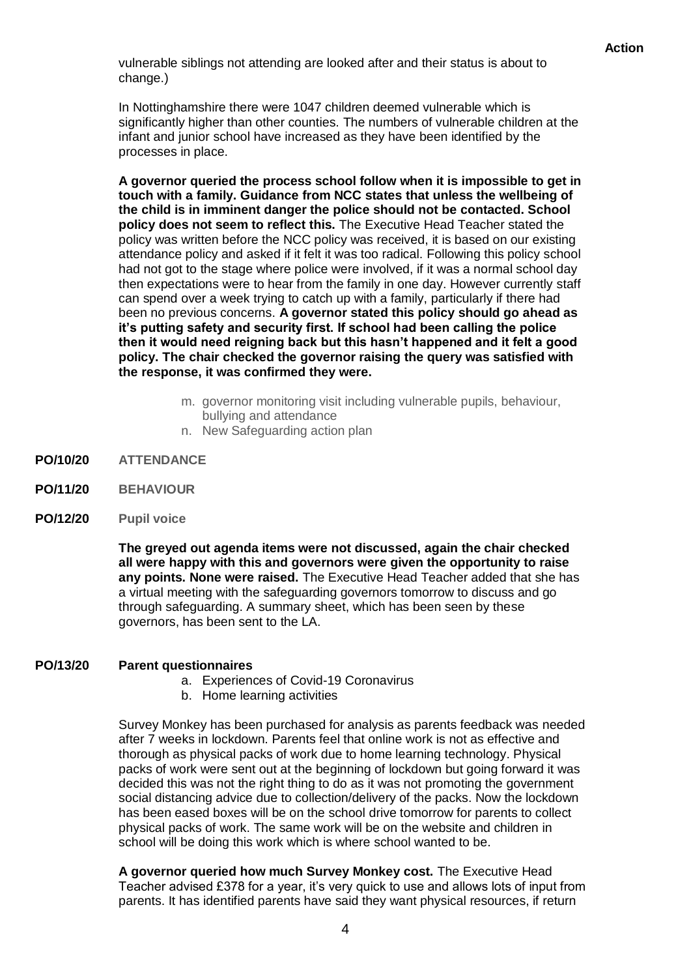vulnerable siblings not attending are looked after and their status is about to change.)

In Nottinghamshire there were 1047 children deemed vulnerable which is significantly higher than other counties. The numbers of vulnerable children at the infant and junior school have increased as they have been identified by the processes in place.

**A governor queried the process school follow when it is impossible to get in touch with a family. Guidance from NCC states that unless the wellbeing of the child is in imminent danger the police should not be contacted. School policy does not seem to reflect this.** The Executive Head Teacher stated the policy was written before the NCC policy was received, it is based on our existing attendance policy and asked if it felt it was too radical. Following this policy school had not got to the stage where police were involved, if it was a normal school day then expectations were to hear from the family in one day. However currently staff can spend over a week trying to catch up with a family, particularly if there had been no previous concerns. **A governor stated this policy should go ahead as it's putting safety and security first. If school had been calling the police then it would need reigning back but this hasn't happened and it felt a good policy. The chair checked the governor raising the query was satisfied with the response, it was confirmed they were.**

- m. governor monitoring visit including vulnerable pupils, behaviour, bullying and attendance
- n. New Safeguarding action plan
- **PO/10/20 ATTENDANCE**
- **PO/11/20 BEHAVIOUR**
- **PO/12/20 Pupil voice**

**The greyed out agenda items were not discussed, again the chair checked all were happy with this and governors were given the opportunity to raise any points. None were raised.** The Executive Head Teacher added that she has a virtual meeting with the safeguarding governors tomorrow to discuss and go through safeguarding. A summary sheet, which has been seen by these governors, has been sent to the LA.

#### **PO/13/20 Parent questionnaires**

- a. Experiences of Covid-19 Coronavirus
- b. Home learning activities

Survey Monkey has been purchased for analysis as parents feedback was needed after 7 weeks in lockdown. Parents feel that online work is not as effective and thorough as physical packs of work due to home learning technology. Physical packs of work were sent out at the beginning of lockdown but going forward it was decided this was not the right thing to do as it was not promoting the government social distancing advice due to collection/delivery of the packs. Now the lockdown has been eased boxes will be on the school drive tomorrow for parents to collect physical packs of work. The same work will be on the website and children in school will be doing this work which is where school wanted to be.

**A governor queried how much Survey Monkey cost.** The Executive Head Teacher advised £378 for a year, it's very quick to use and allows lots of input from parents. It has identified parents have said they want physical resources, if return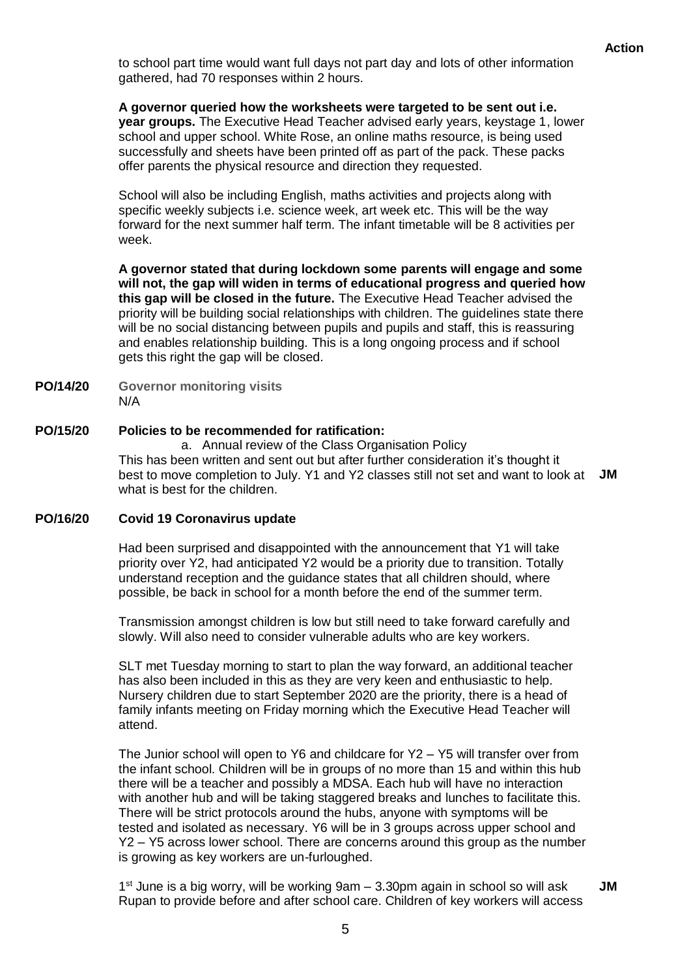to school part time would want full days not part day and lots of other information gathered, had 70 responses within 2 hours.

**A governor queried how the worksheets were targeted to be sent out i.e.** 

**year groups.** The Executive Head Teacher advised early years, keystage 1, lower school and upper school. White Rose, an online maths resource, is being used successfully and sheets have been printed off as part of the pack. These packs offer parents the physical resource and direction they requested.

School will also be including English, maths activities and projects along with specific weekly subjects i.e. science week, art week etc. This will be the way forward for the next summer half term. The infant timetable will be 8 activities per week.

**A governor stated that during lockdown some parents will engage and some will not, the gap will widen in terms of educational progress and queried how this gap will be closed in the future.** The Executive Head Teacher advised the priority will be building social relationships with children. The guidelines state there will be no social distancing between pupils and pupils and staff, this is reassuring and enables relationship building. This is a long ongoing process and if school gets this right the gap will be closed.

- **PO/14/20 Governor monitoring visits**  N/A
- **PO/15/20 Policies to be recommended for ratification:**

a. Annual review of the Class Organisation Policy This has been written and sent out but after further consideration it's thought it best to move completion to July. Y1 and Y2 classes still not set and want to look at **JM** what is best for the children.

### **PO/16/20 Covid 19 Coronavirus update**

Had been surprised and disappointed with the announcement that Y1 will take priority over Y2, had anticipated Y2 would be a priority due to transition. Totally understand reception and the guidance states that all children should, where possible, be back in school for a month before the end of the summer term.

Transmission amongst children is low but still need to take forward carefully and slowly. Will also need to consider vulnerable adults who are key workers.

SLT met Tuesday morning to start to plan the way forward, an additional teacher has also been included in this as they are very keen and enthusiastic to help. Nursery children due to start September 2020 are the priority, there is a head of family infants meeting on Friday morning which the Executive Head Teacher will attend.

The Junior school will open to Y6 and childcare for Y2 – Y5 will transfer over from the infant school. Children will be in groups of no more than 15 and within this hub there will be a teacher and possibly a MDSA. Each hub will have no interaction with another hub and will be taking staggered breaks and lunches to facilitate this. There will be strict protocols around the hubs, anyone with symptoms will be tested and isolated as necessary. Y6 will be in 3 groups across upper school and Y2 – Y5 across lower school. There are concerns around this group as the number is growing as key workers are un-furloughed.

1 st June is a big worry, will be working 9am – 3.30pm again in school so will ask Rupan to provide before and after school care. Children of key workers will access **JM**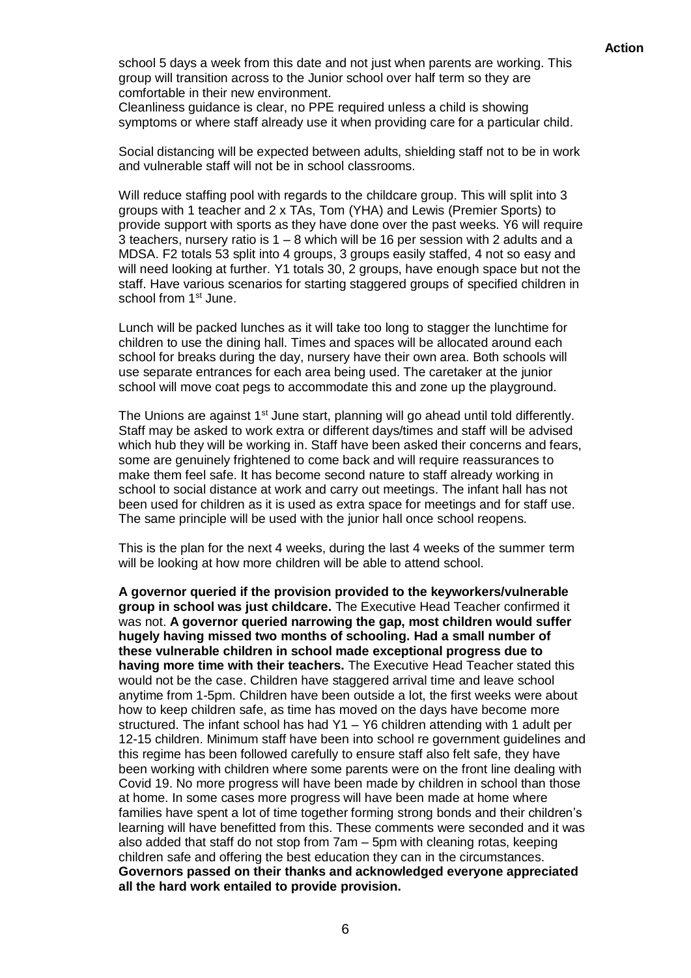school 5 days a week from this date and not just when parents are working. This group will transition across to the Junior school over half term so they are comfortable in their new environment.

Cleanliness guidance is clear, no PPE required unless a child is showing symptoms or where staff already use it when providing care for a particular child.

Social distancing will be expected between adults, shielding staff not to be in work and vulnerable staff will not be in school classrooms.

Will reduce staffing pool with regards to the childcare group. This will split into 3 groups with 1 teacher and 2 x TAs, Tom (YHA) and Lewis (Premier Sports) to provide support with sports as they have done over the past weeks. Y6 will require 3 teachers, nursery ratio is 1 – 8 which will be 16 per session with 2 adults and a MDSA. F2 totals 53 split into 4 groups, 3 groups easily staffed, 4 not so easy and will need looking at further. Y1 totals 30, 2 groups, have enough space but not the staff. Have various scenarios for starting staggered groups of specified children in school from 1<sup>st</sup> June.

Lunch will be packed lunches as it will take too long to stagger the lunchtime for children to use the dining hall. Times and spaces will be allocated around each school for breaks during the day, nursery have their own area. Both schools will use separate entrances for each area being used. The caretaker at the junior school will move coat pegs to accommodate this and zone up the playground.

The Unions are against 1<sup>st</sup> June start, planning will go ahead until told differently. Staff may be asked to work extra or different days/times and staff will be advised which hub they will be working in. Staff have been asked their concerns and fears, some are genuinely frightened to come back and will require reassurances to make them feel safe. It has become second nature to staff already working in school to social distance at work and carry out meetings. The infant hall has not been used for children as it is used as extra space for meetings and for staff use. The same principle will be used with the junior hall once school reopens.

This is the plan for the next 4 weeks, during the last 4 weeks of the summer term will be looking at how more children will be able to attend school.

**A governor queried if the provision provided to the keyworkers/vulnerable group in school was just childcare.** The Executive Head Teacher confirmed it was not. **A governor queried narrowing the gap, most children would suffer hugely having missed two months of schooling. Had a small number of these vulnerable children in school made exceptional progress due to having more time with their teachers.** The Executive Head Teacher stated this would not be the case. Children have staggered arrival time and leave school anytime from 1-5pm. Children have been outside a lot, the first weeks were about how to keep children safe, as time has moved on the days have become more structured. The infant school has had Y1 – Y6 children attending with 1 adult per 12-15 children. Minimum staff have been into school re government guidelines and this regime has been followed carefully to ensure staff also felt safe, they have been working with children where some parents were on the front line dealing with Covid 19. No more progress will have been made by children in school than those at home. In some cases more progress will have been made at home where families have spent a lot of time together forming strong bonds and their children's learning will have benefitted from this. These comments were seconded and it was also added that staff do not stop from 7am – 5pm with cleaning rotas, keeping children safe and offering the best education they can in the circumstances. **Governors passed on their thanks and acknowledged everyone appreciated all the hard work entailed to provide provision.**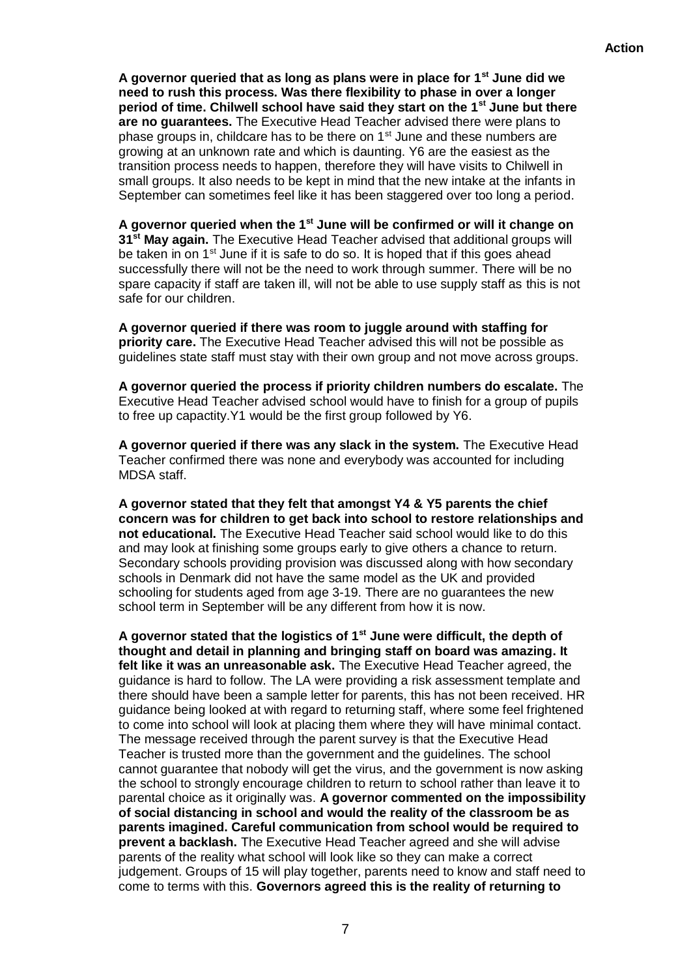**A governor queried that as long as plans were in place for 1st June did we need to rush this process. Was there flexibility to phase in over a longer period of time. Chilwell school have said they start on the 1st June but there are no guarantees.** The Executive Head Teacher advised there were plans to phase groups in, childcare has to be there on  $1<sup>st</sup>$  June and these numbers are growing at an unknown rate and which is daunting. Y6 are the easiest as the transition process needs to happen, therefore they will have visits to Chilwell in small groups. It also needs to be kept in mind that the new intake at the infants in September can sometimes feel like it has been staggered over too long a period.

**A governor queried when the 1st June will be confirmed or will it change on 31st May again.** The Executive Head Teacher advised that additional groups will be taken in on 1<sup>st</sup> June if it is safe to do so. It is hoped that if this goes ahead successfully there will not be the need to work through summer. There will be no spare capacity if staff are taken ill, will not be able to use supply staff as this is not safe for our children.

**A governor queried if there was room to juggle around with staffing for priority care.** The Executive Head Teacher advised this will not be possible as guidelines state staff must stay with their own group and not move across groups.

**A governor queried the process if priority children numbers do escalate.** The Executive Head Teacher advised school would have to finish for a group of pupils to free up capactity.Y1 would be the first group followed by Y6.

**A governor queried if there was any slack in the system.** The Executive Head Teacher confirmed there was none and everybody was accounted for including MDSA staff.

**A governor stated that they felt that amongst Y4 & Y5 parents the chief concern was for children to get back into school to restore relationships and not educational.** The Executive Head Teacher said school would like to do this and may look at finishing some groups early to give others a chance to return. Secondary schools providing provision was discussed along with how secondary schools in Denmark did not have the same model as the UK and provided schooling for students aged from age 3-19. There are no guarantees the new school term in September will be any different from how it is now.

**A governor stated that the logistics of 1st June were difficult, the depth of thought and detail in planning and bringing staff on board was amazing. It felt like it was an unreasonable ask.** The Executive Head Teacher agreed, the guidance is hard to follow. The LA were providing a risk assessment template and there should have been a sample letter for parents, this has not been received. HR guidance being looked at with regard to returning staff, where some feel frightened to come into school will look at placing them where they will have minimal contact. The message received through the parent survey is that the Executive Head Teacher is trusted more than the government and the guidelines. The school cannot guarantee that nobody will get the virus, and the government is now asking the school to strongly encourage children to return to school rather than leave it to parental choice as it originally was. **A governor commented on the impossibility of social distancing in school and would the reality of the classroom be as parents imagined. Careful communication from school would be required to prevent a backlash.** The Executive Head Teacher agreed and she will advise parents of the reality what school will look like so they can make a correct judgement. Groups of 15 will play together, parents need to know and staff need to come to terms with this. **Governors agreed this is the reality of returning to**